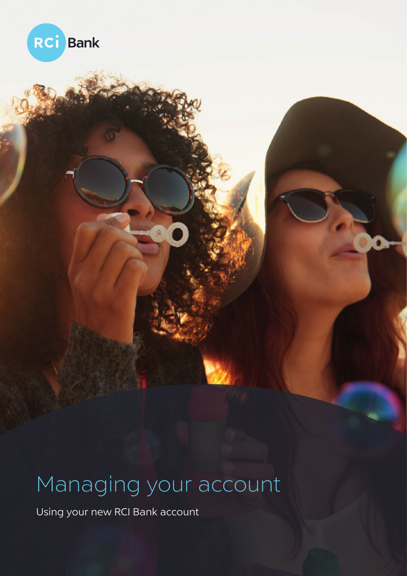

# Managing your account

Using your new RCI Bank account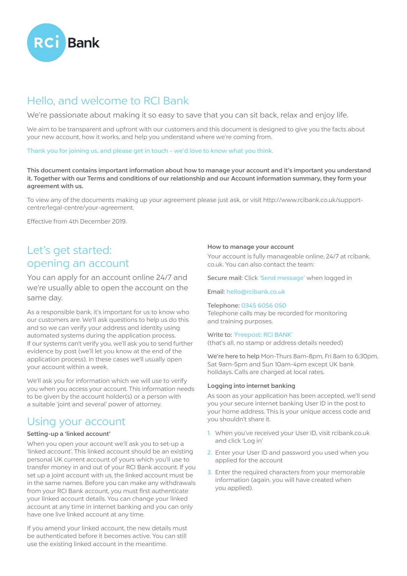

# Hello, and welcome to RCI Bank

We're passionate about making it so easy to save that you can sit back, relax and enjoy life.

We aim to be transparent and upfront with our customers and this document is designed to give you the facts about your new account, how it works, and help you understand where we're coming from.

#### Thank you for joining us, and please get in touch – we'd love to know what you think.

This document contains important information about how to manage your account and it's important you understand it. Together with our Terms and conditions of our relationship and our Account information summary, they form your agreement with us.

To view any of the documents making up your agreement please just ask, or visit http://www.rcibank.co.uk/supportcentre/legal-centre/your-agreement.

Effective from 4th December 2019.

### Let's get started: opening an account

You can apply for an account online 24/7 and we're usually able to open the account on the same day.

As a responsible bank, it's important for us to know who our customers are. We'll ask questions to help us do this and so we can verify your address and identity using automated systems during the application process. If our systems can't verify you, we'll ask you to send further evidence by post (we'll let you know at the end of the application process). In these cases we'll usually open your account within a week.

We'll ask you for information which we will use to verify you when you access your account. This information needs to be given by the account holder(s) or a person with a suitable 'joint and several' power of attorney.

### Using your account

#### Setting-up a 'linked account'

When you open your account we'll ask you to set-up a 'linked account'. This linked account should be an existing personal UK current account of yours which you'll use to transfer money in and out of your RCI Bank account. If you set up a joint account with us, the linked account must be in the same names. Before you can make any withdrawals from your RCI Bank account, you must first authenticate your linked account details. You can change your linked account at any time in internet banking and you can only have one live linked account at any time.

If you amend your linked account, the new details must be authenticated before it becomes active. You can still use the existing linked account in the meantime.

#### How to manage your account

Your account is fully manageable online, 24/7 at rcibank. co.uk. You can also contact the team:

Secure mail: Click 'Send message' when logged in

#### Email: hello@rcibank.co.uk

#### Telephone: 0345 6056 050

Telephone calls may be recorded for monitoring and training purposes.

#### Write to: 'Freepost: RCI BANK'

(that's all, no stamp or address details needed)

We're here to help Mon-Thurs 8am-8pm, Fri 8am to 6:30pm, Sat 9am-5pm and Sun 10am-4pm except UK bank holidays. Calls are charged at local rates.

#### Logging into internet banking

As soon as your application has been accepted, we'll send you your secure internet banking User ID in the post to your home address. This is your unique access code and you shouldn't share it.

- 1. When you've received your User ID, visit rcibank.co.uk and click 'Log in'
- 2. Enter your User ID and password you used when you applied for the account
- 3. Enter the required characters from your memorable information (again, you will have created when you applied).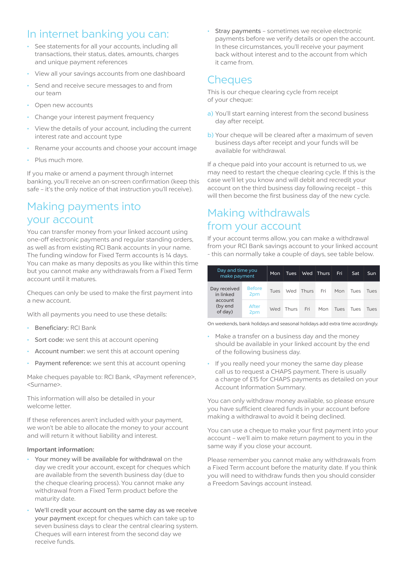# In internet banking you can:

- See statements for all your accounts, including all transactions, their status, dates, amounts, charges and unique payment references
- View all your savings accounts from one dashboard
- Send and receive secure messages to and from our team
- Open new accounts
- Change your interest payment frequency
- View the details of your account, including the current interest rate and account type
- Rename your accounts and choose your account image
- Plus much more.

If you make or amend a payment through internet banking, you'll receive an on-screen confirmation (keep this safe – it's the only notice of that instruction you'll receive).

## Making payments into your account

You can transfer money from your linked account using one-off electronic payments and regular standing orders, as well as from existing RCI Bank accounts in your name. The funding window for Fixed Term accounts is 14 days. You can make as many deposits as you like within this time but you cannot make any withdrawals from a Fixed Term account until it matures.

Cheques can only be used to make the first payment into a new account.

With all payments you need to use these details:

- Beneficiary: RCI Bank
- Sort code: we sent this at account opening
- Account number: we sent this at account opening
- Payment reference: we sent this at account opening

Make cheques payable to: RCI Bank, <Payment reference>, <Surname>.

This information will also be detailed in your welcome letter.

If these references aren't included with your payment, we won't be able to allocate the money to your account and will return it without liability and interest.

#### Important information:

- Your money will be available for withdrawal on the day we credit your account, except for cheques which are available from the seventh business day (due to the cheque clearing process). You cannot make any withdrawal from a Fixed Term product before the maturity date.
- We'll credit your account on the same day as we receive your payment except for cheques which can take up to seven business days to clear the central clearing system. Cheques will earn interest from the second day we receive funds.

Stray payments - sometimes we receive electronic payments before we verify details or open the account. In these circumstances, you'll receive your payment back without interest and to the account from which it came from.

### **Cheques**

This is our cheque clearing cycle from receipt of your cheque:

- a) You'll start earning interest from the second business day after receipt.
- b) Your cheque will be cleared after a maximum of seven business days after receipt and your funds will be available for withdrawal.

If a cheque paid into your account is returned to us, we may need to restart the cheque clearing cycle. If this is the case we'll let you know and will debit and recredit your account on the third business day following receipt – this will then become the first business day of the new cycle.

### Making withdrawals from your account

If your account terms allow, you can make a withdrawal from your RCI Bank savings account to your linked account - this can normally take a couple of days, see table below.

| Day and time you<br>make payment                           |                      | Mon  | Tues  | Wed       | $\blacksquare$ Thurs | Fri  | Sat         | Sun  |
|------------------------------------------------------------|----------------------|------|-------|-----------|----------------------|------|-------------|------|
| Day received<br>in linked<br>account<br>(by end<br>of day) | <b>Before</b><br>2pm | Tues |       | Wed Thurs | Fri                  | Mon  | <b>Tues</b> | Tues |
|                                                            | After<br>2pm         | Wed  | Thurs | Fri       | Mon                  | Tues | Tues        | Tues |

On weekends, bank holidays and seasonal holidays add extra time accordingly.

- Make a transfer on a business day and the money should be available in your linked account by the end of the following business day.
- If you really need your money the same day please call us to request a CHAPS payment. There is usually a charge of £15 for CHAPS payments as detailed on your Account Information Summary.

You can only withdraw money available, so please ensure you have sufficient cleared funds in your account before making a withdrawal to avoid it being declined.

You can use a cheque to make your first payment into your account – we'll aim to make return payment to you in the same way if you close your account.

Please remember you cannot make any withdrawals from a Fixed Term account before the maturity date. If you think you will need to withdraw funds then you should consider a Freedom Savings account instead.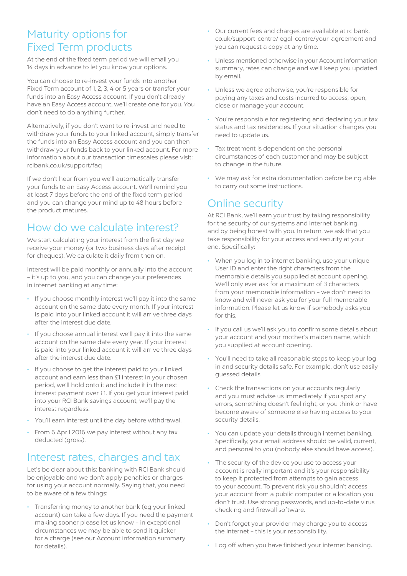### Maturity options for Fixed Term products

At the end of the fixed term period we will email you 14 days in advance to let you know your options.

You can choose to re-invest your funds into another Fixed Term account of 1, 2, 3, 4 or 5 years or transfer your funds into an Easy Access account. If you don't already have an Easy Access account, we'll create one for you. You don't need to do anything further.

Alternatively, if you don't want to re-invest and need to withdraw your funds to your linked account, simply transfer the funds into an Easy Access account and you can then withdraw your funds back to your linked account. For more information about our transaction timescales please visit: rcibank.co.uk/support/faq

If we don't hear from you we'll automatically transfer your funds to an Easy Access account. We'll remind you at least 7 days before the end of the fixed term period and you can change your mind up to 48 hours before the product matures.

# How do we calculate interest?

We start calculating your interest from the first day we receive your money (or two business days after receipt for cheques). We calculate it daily from then on.

Interest will be paid monthly or annually into the account – it's up to you, and you can change your preferences in internet banking at any time:

- If you choose monthly interest we'll pay it into the same account on the same date every month. If your interest is paid into your linked account it will arrive three days after the interest due date.
- If you choose annual interest we'll pay it into the same account on the same date every year. If your interest is paid into your linked account it will arrive three days after the interest due date.
- If you choose to get the interest paid to your linked account and earn less than £1 interest in your chosen period, we'll hold onto it and include it in the next interest payment over £1. If you get your interest paid into your RCI Bank savings account, we'll pay the interest regardless.
- You'll earn interest until the day before withdrawal.
- From 6 April 2016 we pay interest without any tax deducted (gross).

### Interest rates, charges and tax

Let's be clear about this: banking with RCI Bank should be enjoyable and we don't apply penalties or charges for using your account normally. Saying that, you need to be aware of a few things:

• Transferring money to another bank (eg your linked account) can take a few days. If you need the payment making sooner please let us know – in exceptional circumstances we may be able to send it quicker for a charge (see our Account information summary for details).

- Our current fees and charges are available at rcibank. co.uk/support-centre/legal-centre/your-agreement and you can request a copy at any time.
- Unless mentioned otherwise in your Account information summary, rates can change and we'll keep you updated by email.
- Unless we agree otherwise, you're responsible for paying any taxes and costs incurred to access, open, close or manage your account.
- You're responsible for registering and declaring your tax status and tax residencies. If your situation changes you need to update us.
- Tax treatment is dependent on the personal circumstances of each customer and may be subject to change in the future.
- We may ask for extra documentation before being able to carry out some instructions.

### Online security

At RCI Bank, we'll earn your trust by taking responsibility for the security of our systems and internet banking, and by being honest with you. In return, we ask that you take responsibility for your access and security at your end. Specifically:

- When you log in to internet banking, use your unique User ID and enter the right characters from the memorable details you supplied at account opening. We'll only ever ask for a maximum of 3 characters from your memorable information – we don't need to know and will never ask you for your full memorable information. Please let us know if somebody asks you for this.
- If you call us we'll ask you to confirm some details about your account and your mother's maiden name, which you supplied at account opening.
- You'll need to take all reasonable steps to keep your log in and security details safe. For example, don't use easily guessed details.
- Check the transactions on your accounts regularly and you must advise us immediately if you spot any errors, something doesn't feel right, or you think or have become aware of someone else having access to your security details.
- You can update your details through internet banking. Specifically, your email address should be valid, current, and personal to you (nobody else should have access).
- The security of the device you use to access your account is really important and it's your responsibility to keep it protected from attempts to gain access to your account. To prevent risk you shouldn't access your account from a public computer or a location you don't trust. Use strong passwords, and up-to-date virus checking and firewall software.
- Don't forget your provider may charge you to access the internet – this is your responsibility.
- Log off when you have finished your internet banking.